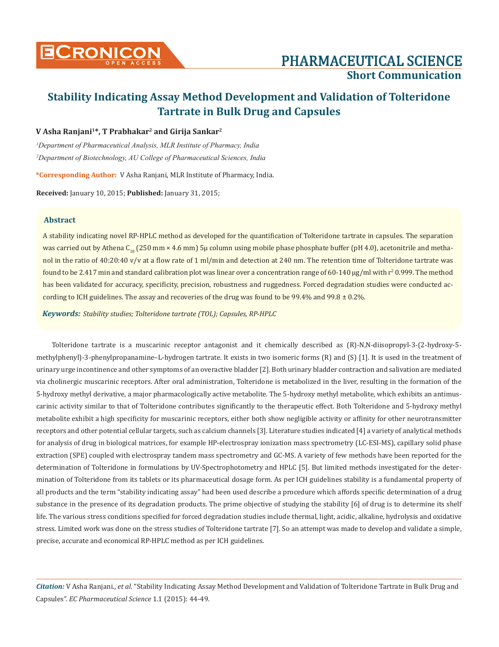

# **Short Communication**

# **Stability Indicating Assay Method Development and Validation of Tolteridone Tartrate in Bulk Drug and Capsules**

### **V Asha Ranjani1\*, T Prabhakar2 and Girija Sankar2**

*1 Department of Pharmaceutical Analysis, MLR Institute of Pharmacy, India 2 Department of Biotechnology, AU College of Pharmaceutical Sciences, India*

**\*Corresponding Author:** V Asha Ranjani, MLR Institute of Pharmacy, India.

**Received:** January 10, 2015; **Published:** January 31, 2015;

#### **Abstract**

A stability indicating novel RP-HPLC method as developed for the quantification of Tolteridone tartrate in capsules. The separation was carried out by Athena C<sub>18</sub> (250 mm × 4.6 mm) 5µ column using mobile phase phosphate buffer (pH 4.0), acetonitrile and methanol in the ratio of 40:20:40 v/v at a flow rate of 1 ml/min and detection at 240 nm. The retention time of Tolteridone tartrate was found to be 2.417 min and standard calibration plot was linear over a concentration range of 60-140  $\mu$ g/ml with r $^2$  0.999. The method has been validated for accuracy, specificity, precision, robustness and ruggedness. Forced degradation studies were conducted according to ICH guidelines. The assay and recoveries of the drug was found to be 99.4% and 99.8  $\pm$  0.2%.

*Keywords: Stability studies; Tolteridone tartrate (TOL); Capsules, RP-HPLC*

Tolteridone tartrate is a muscarinic receptor antagonist and it chemically described as (R)-N,N-diisopropyl-3-(2-hydroxy-5 methylphenyl)-3-phenylpropanamine–L-hydrogen tartrate. It exists in two isomeric forms (R) and (S) [1]. It is used in the treatment of urinary urge incontinence and other symptoms of an overactive bladder [2]. Both urinary bladder contraction and salivation are mediated via cholinergic muscarinic receptors. After oral administration, Tolteridone is metabolized in the liver, resulting in the formation of the 5-hydroxy methyl derivative, a major pharmacologically active metabolite. The 5-hydroxy methyl metabolite, which exhibits an antimuscarinic activity similar to that of Tolteridone contributes significantly to the therapeutic effect. Both Tolteridone and 5-hydroxy methyl metabolite exhibit a high specificity for muscarinic receptors, either both show negligible activity or affinity for other neurotransmitter receptors and other potential cellular targets, such as calcium channels [3]. Literature studies indicated [4] a variety of analytical methods for analysis of drug in biological matrices, for example HP-electrospray ionization mass spectrometry (LC-ESI-MS), capillary solid phase extraction (SPE) coupled with electrospray tandem mass spectrometry and GC-MS. A variety of few methods have been reported for the determination of Tolteridone in formulations by UV-Spectrophotometry and HPLC [5]. But limited methods investigated for the determination of Tolteridone from its tablets or its pharmaceutical dosage form. As per ICH guidelines stability is a fundamental property of all products and the term "stability indicating assay" had been used describe a procedure which affords specific determination of a drug substance in the presence of its degradation products. The prime objective of studying the stability [6] of drug is to determine its shelf life. The various stress conditions specified for forced degradation studies include thermal, light, acidic, alkaline, hydrolysis and oxidative stress. Limited work was done on the stress studies of Tolteridone tartrate [7]. So an attempt was made to develop and validate a simple, precise, accurate and economical RP-HPLC method as per ICH guidelines.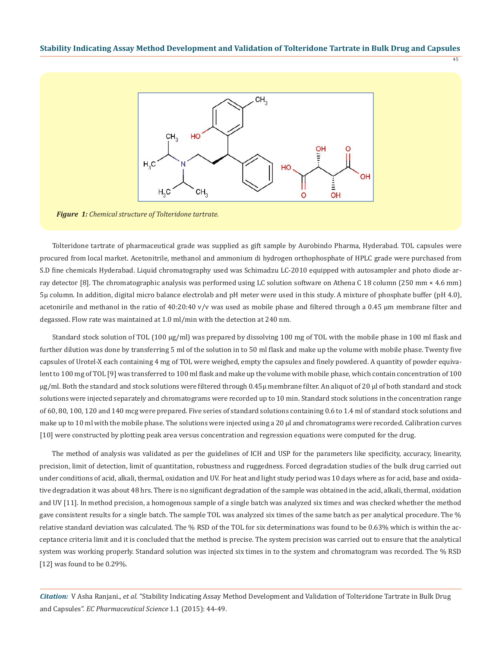45



*Figure 1: Chemical structure of Tolteridone tartrate.*

Tolteridone tartrate of pharmaceutical grade was supplied as gift sample by Aurobindo Pharma, Hyderabad. TOL capsules were procured from local market. Acetonitrile, methanol and ammonium di hydrogen orthophosphate of HPLC grade were purchased from S.D fine chemicals Hyderabad. Liquid chromatography used was Schimadzu LC-2010 equipped with autosampler and photo diode array detector [8]. The chromatographic analysis was performed using LC solution software on Athena C 18 column (250 mm × 4.6 mm) 5µ column. In addition, digital micro balance electrolab and pH meter were used in this study. A mixture of phosphate buffer (pH 4.0), acetonirile and methanol in the ratio of  $40:20:40$  v/v was used as mobile phase and filtered through a 0.45 µm membrane filter and degassed. Flow rate was maintained at 1.0 ml/min with the detection at 240 nm.

Standard stock solution of TOL (100 µg/ml) was prepared by dissolving 100 mg of TOL with the mobile phase in 100 ml flask and further dilution was done by transferring 5 ml of the solution in to 50 ml flask and make up the volume with mobile phase. Twenty five capsules of Urotel-X each containing 4 mg of TOL were weighed, empty the capsules and finely powdered. A quantity of powder equivalent to 100 mg of TOL [9] was transferred to 100 ml flask and make up the volume with mobile phase, which contain concentration of 100 µg/ml. Both the standard and stock solutions were filtered through 0.45µ membrane filter. An aliquot of 20 µl of both standard and stock solutions were injected separately and chromatograms were recorded up to 10 min. Standard stock solutions in the concentration range of 60, 80, 100, 120 and 140 mcg were prepared. Five series of standard solutions containing 0.6 to 1.4 ml of standard stock solutions and make up to 10 ml with the mobile phase. The solutions were injected using a 20 µl and chromatograms were recorded. Calibration curves [10] were constructed by plotting peak area versus concentration and regression equations were computed for the drug.

The method of analysis was validated as per the guidelines of ICH and USP for the parameters like specificity, accuracy, linearity, precision, limit of detection, limit of quantitation, robustness and ruggedness. Forced degradation studies of the bulk drug carried out under conditions of acid, alkali, thermal, oxidation and UV. For heat and light study period was 10 days where as for acid, base and oxidative degradation it was about 48 hrs. There is no significant degradation of the sample was obtained in the acid, alkali, thermal, oxidation and UV [11]. In method precision, a homogenous sample of a single batch was analyzed six times and was checked whether the method gave consistent results for a single batch. The sample TOL was analyzed six times of the same batch as per analytical procedure. The % relative standard deviation was calculated. The % RSD of the TOL for six determinations was found to be 0.63% which is within the acceptance criteria limit and it is concluded that the method is precise. The system precision was carried out to ensure that the analytical system was working properly. Standard solution was injected six times in to the system and chromatogram was recorded. The % RSD [12] was found to be 0.29%.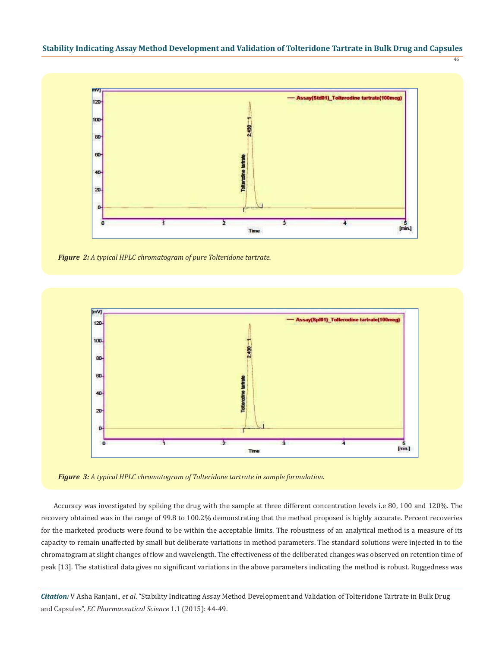



*Figure 2: A typical HPLC chromatogram of pure Tolteridone tartrate.*



*Figure 3: A typical HPLC chromatogram of Tolteridone tartrate in sample formulation.*

Accuracy was investigated by spiking the drug with the sample at three different concentration levels i.e 80, 100 and 120%. The recovery obtained was in the range of 99.8 to 100.2% demonstrating that the method proposed is highly accurate. Percent recoveries for the marketed products were found to be within the acceptable limits. The robustness of an analytical method is a measure of its capacity to remain unaffected by small but deliberate variations in method parameters. The standard solutions were injected in to the chromatogram at slight changes of flow and wavelength. The effectiveness of the deliberated changes was observed on retention time of peak [13]. The statistical data gives no significant variations in the above parameters indicating the method is robust. Ruggedness was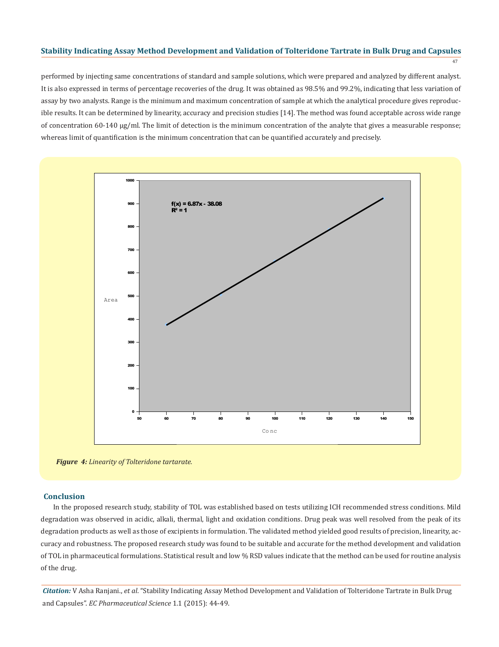47

performed by injecting same concentrations of standard and sample solutions, which were prepared and analyzed by different analyst. It is also expressed in terms of percentage recoveries of the drug. It was obtained as 98.5% and 99.2%, indicating that less variation of assay by two analysts. Range is the minimum and maximum concentration of sample at which the analytical procedure gives reproducible results. It can be determined by linearity, accuracy and precision studies [14]. The method was found acceptable across wide range of concentration 60-140 µg/ml. The limit of detection is the minimum concentration of the analyte that gives a measurable response; whereas limit of quantification is the minimum concentration that can be quantified accurately and precisely.



*Figure 4: Linearity of Tolteridone tartarate.*

#### **Conclusion**

In the proposed research study, stability of TOL was established based on tests utilizing ICH recommended stress conditions. Mild degradation was observed in acidic, alkali, thermal, light and oxidation conditions. Drug peak was well resolved from the peak of its degradation products as well as those of excipients in formulation. The validated method yielded good results of precision, linearity, accuracy and robustness. The proposed research study was found to be suitable and accurate for the method development and validation of TOL in pharmaceutical formulations. Statistical result and low % RSD values indicate that the method can be used for routine analysis of the drug.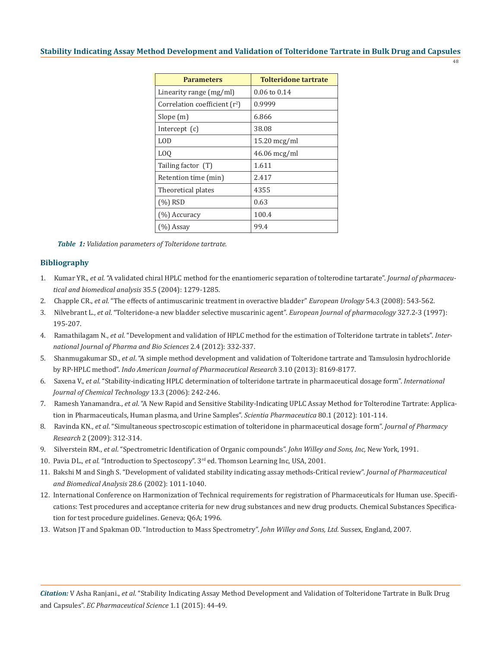48

| <b>Parameters</b>               | <b>Tolteridone tartrate</b> |
|---------------------------------|-----------------------------|
| Linearity range (mg/ml)         | 0.06 to 0.14                |
| Correlation coefficient $(r^2)$ | 0.9999                      |
| Slope(m)                        | 6.866                       |
| Intercept $(c)$                 | 38.08                       |
| LOD.                            | 15.20 mcg/ml                |
| L <sub>0</sub>                  | $46.06$ mcg/ml              |
| Tailing factor (T)              | 1.611                       |
| Retention time (min)            | 2.417                       |
| Theoretical plates              | 4355                        |
| $(\%)$ RSD                      | 0.63                        |
| $(%)$ Accuracy                  | 100.4                       |
| $(%)$ Assay                     | 99.4                        |

*Table 1: Validation parameters of Tolteridone tartrate.*

#### **Bibliography**

- 1. Kumar YR., *et al*. "A validated chiral HPLC method for the enantiomeric separation of tolterodine tartarate". *Journal of pharmaceu tical and biomedical analysis* 35.5 (2004): 1279-1285.
- 2. Chapple CR., *et al*. "The effects of antimuscarinic treatment in overactive bladder" *European Urology* 54.3 (2008): 543-562.
- 3. Nilvebrant L., *et al*. "Tolteridone-a new bladder selective muscarinic agent". *European Journal of pharmacology* 327.2-3 (1997): 195-207.
- 4. Ramathilagam N., *et al*. "Development and validation of HPLC method for the estimation of Tolteridone tartrate in tablets". *Inter national Journal of Pharma and Bio Sciences* 2.4 (2012): 332-337.
- 5. Shanmugakumar SD., *et al*. "A simple method development and validation of Tolteridone tartrate and Tamsulosin hydrochloride by RP-HPLC method". *Indo American Journal of Pharmaceutical Research* 3.10 (2013): 8169-8177.
- 6. Saxena V., *et al*. "Stability-indicating HPLC determination of tolteridone tartrate in pharmaceutical dosage form". *International Journal of Chemical Technology* 13.3 (2006): 242-246.
- 7. Ramesh Yanamandra., *et al*. "A New Rapid and Sensitive Stability-Indicating UPLC Assay Method for Tolterodine Tartrate: Applica tion in Pharmaceuticals, Human plasma, and Urine Samples". *Scientia Pharmaceutica* 80.1 (2012): 101-114.
- 8. Ravinda KN., *et al*. "Simultaneous spectroscopic estimation of tolteridone in pharmaceutical dosage form". *Journal of Pharmacy Research* 2 (2009): 312-314.
- 9. Silverstein RM., *et al*. "Spectrometric Identification of Organic compounds". *John Willey and Sons, Inc,* New York, 1991.
- 10. Pavia DL., *et al*. "Introduction to Spectoscopy". 3rd ed. Thomson Learning Inc, USA, 2001.
- 11. Bakshi M and Singh S. "Development of validated stability indicating assay methods-Critical review". *Journal of Pharmaceutical and Biomedical Analysis* 28.6 (2002): 1011-1040.
- 12. International Conference on Harmonization of Technical requirements for registration of Pharmaceuticals for Human use. Specifi cations: Test procedures and acceptance criteria for new drug substances and new drug products. Chemical Substances Specifica tion for test procedure guidelines. Geneva; Q6A; 1996.
- 13. Watson JT and Spakman OD. "Introduction to Mass Spectrometry". *John Willey and Sons, Ltd.* Sussex, England, 2007.